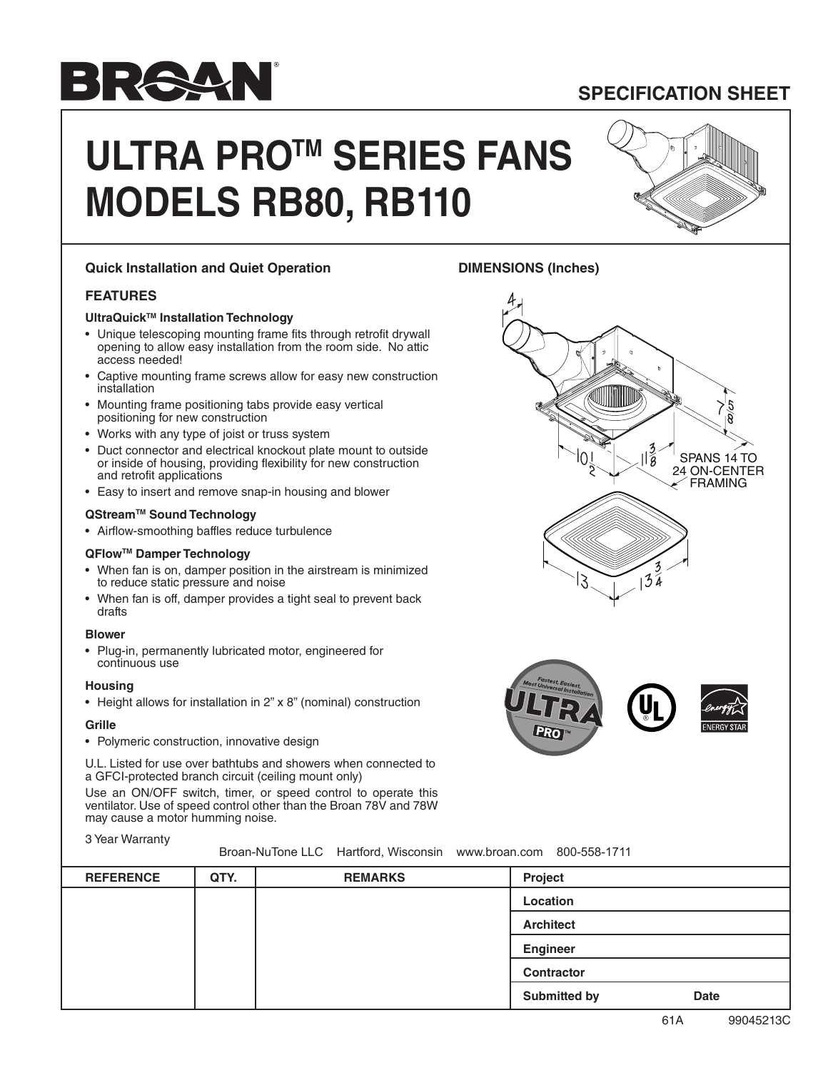# **BRA4**

**SPECIFICATION SHEET**

SPANS 14 TO 24 ON-CENTER **FRAMING** 

 $\mathcal{L}$ 

## **ULTRA PROTM SERIES FANS MODELS RB80, RB110**

### **Quick Installation and Quiet Operation**

#### **FEATURES**

#### **UltraQuickTM Installation Technology**

- Unique telescoping mounting frame fits through retrofit drywall opening to allow easy installation from the room side. No attic access needed!
- Captive mounting frame screws allow for easy new construction installation
- Mounting frame positioning tabs provide easy vertical positioning for new construction
- Works with any type of joist or truss system
- Duct connector and electrical knockout plate mount to outside or inside of housing, providing flexibility for new construction and retrofit applications
- Easy to insert and remove snap-in housing and blower

#### **QStreamTM Sound Technology**

• Airflow-smoothing baffles reduce turbulence

#### **QFlowTM Damper Technology**

- When fan is on, damper position in the airstream is minimized to reduce static pressure and noise
- When fan is off, damper provides a tight seal to prevent back drafts

#### **Blower**

• Plug-in, permanently lubricated motor, engineered for continuous use

#### **Housing**

• Height allows for installation in 2" x 8" (nominal) construction

#### **Grille**

• Polymeric construction, innovative design

U.L. Listed for use over bathtubs and showers when connected to a GFCI-protected branch circuit (ceiling mount only)

Use an ON/OFF switch, timer, or speed control to operate this ventilator. Use of speed control other than the Broan 78V and 78W may cause a motor humming noise.

#### 3 Year Warranty

Broan-NuTone LLC Hartford, Wisconsin www.broan.com 800-558-1711

| <b>REFERENCE</b> | QTY. | <b>REMARKS</b> | Project                            |
|------------------|------|----------------|------------------------------------|
|                  |      |                | Location                           |
|                  |      |                | <b>Architect</b>                   |
|                  |      |                | <b>Engineer</b>                    |
|                  |      |                | <b>Contractor</b>                  |
|                  |      |                | <b>Submitted by</b><br><b>Date</b> |

**DIMENSIONS (Inches)**